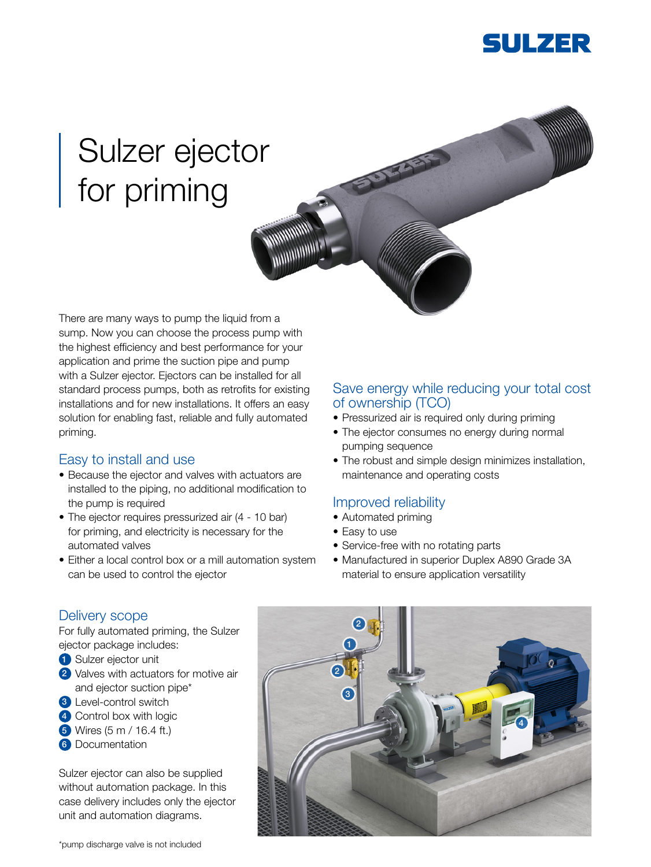

# Sulzer ejector for priming

There are many ways to pump the liquid from a sump. Now you can choose the process pump with the highest efficiency and best performance for your application and prime the suction pipe and pump with a Sulzer ejector. Ejectors can be installed for all standard process pumps, both as retrofits for existing installations and for new installations. It offers an easy solution for enabling fast, reliable and fully automated priming.

#### Easy to install and use

- Because the ejector and valves with actuators are installed to the piping, no additional modification to the pump is required
- The ejector requires pressurized air (4 10 bar) for priming, and electricity is necessary for the automated valves
- Either a local control box or a mill automation system can be used to control the ejector

### Save energy while reducing your total cost of ownership (TCO)

- Pressurized air is required only during priming
- The ejector consumes no energy during normal pumping sequence
- The robust and simple design minimizes installation, maintenance and operating costs

#### Improved reliability

- Automated priming
- Easy to use
- Service-free with no rotating parts
- Manufactured in superior Duplex A890 Grade 3A material to ensure application versatility

#### Delivery scope

For fully automated priming, the Sulzer ejector package includes:

- **1** Sulzer ejector unit
- 2 Valves with actuators for motive air and ejector suction pipe\*
- <sup>3</sup> Level-control switch
- 4 Control box with logic
- 5 Wires (5 m / 16.4 ft.)
- **6** Documentation

Sulzer ejector can also be supplied without automation package. In this case delivery includes only the ejector unit and automation diagrams.